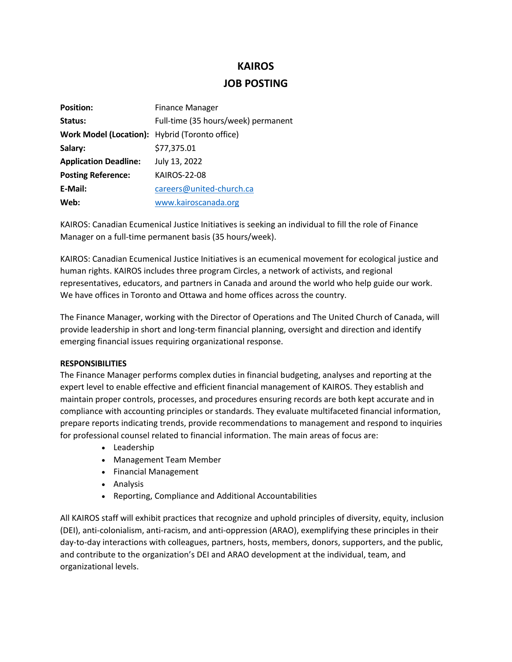# **KAIROS**

## **JOB POSTING**

| <b>Position:</b>                               | <b>Finance Manager</b>              |
|------------------------------------------------|-------------------------------------|
| Status:                                        | Full-time (35 hours/week) permanent |
| Work Model (Location): Hybrid (Toronto office) |                                     |
| Salary:                                        | \$77,375.01                         |
| <b>Application Deadline:</b>                   | July 13, 2022                       |
| <b>Posting Reference:</b>                      | <b>KAIROS-22-08</b>                 |
| E-Mail:                                        | careers@united-church.ca            |
| Web:                                           | www.kairoscanada.org                |

KAIROS: Canadian Ecumenical Justice Initiatives is seeking an individual to fill the role of Finance Manager on a full-time permanent basis (35 hours/week).

KAIROS: Canadian Ecumenical Justice Initiatives is an ecumenical movement for ecological justice and human rights. KAIROS includes three program Circles, a network of activists, and regional representatives, educators, and partners in Canada and around the world who help guide our work. We have offices in Toronto and Ottawa and home offices across the country.

The Finance Manager, working with the Director of Operations and The United Church of Canada, will provide leadership in short and long-term financial planning, oversight and direction and identify emerging financial issues requiring organizational response.

### **RESPONSIBILITIES**

The Finance Manager performs complex duties in financial budgeting, analyses and reporting at the expert level to enable effective and efficient financial management of KAIROS. They establish and maintain proper controls, processes, and procedures ensuring records are both kept accurate and in compliance with accounting principles or standards. They evaluate multifaceted financial information, prepare reports indicating trends, provide recommendations to management and respond to inquiries for professional counsel related to financial information. The main areas of focus are:

- Leadership
- Management Team Member
- Financial Management
- Analysis
- Reporting, Compliance and Additional Accountabilities

All KAIROS staff will exhibit practices that recognize and uphold principles of diversity, equity, inclusion (DEI), anti-colonialism, anti-racism, and anti-oppression (ARAO), exemplifying these principles in their day-to-day interactions with colleagues, partners, hosts, members, donors, supporters, and the public, and contribute to the organization's DEI and ARAO development at the individual, team, and organizational levels.